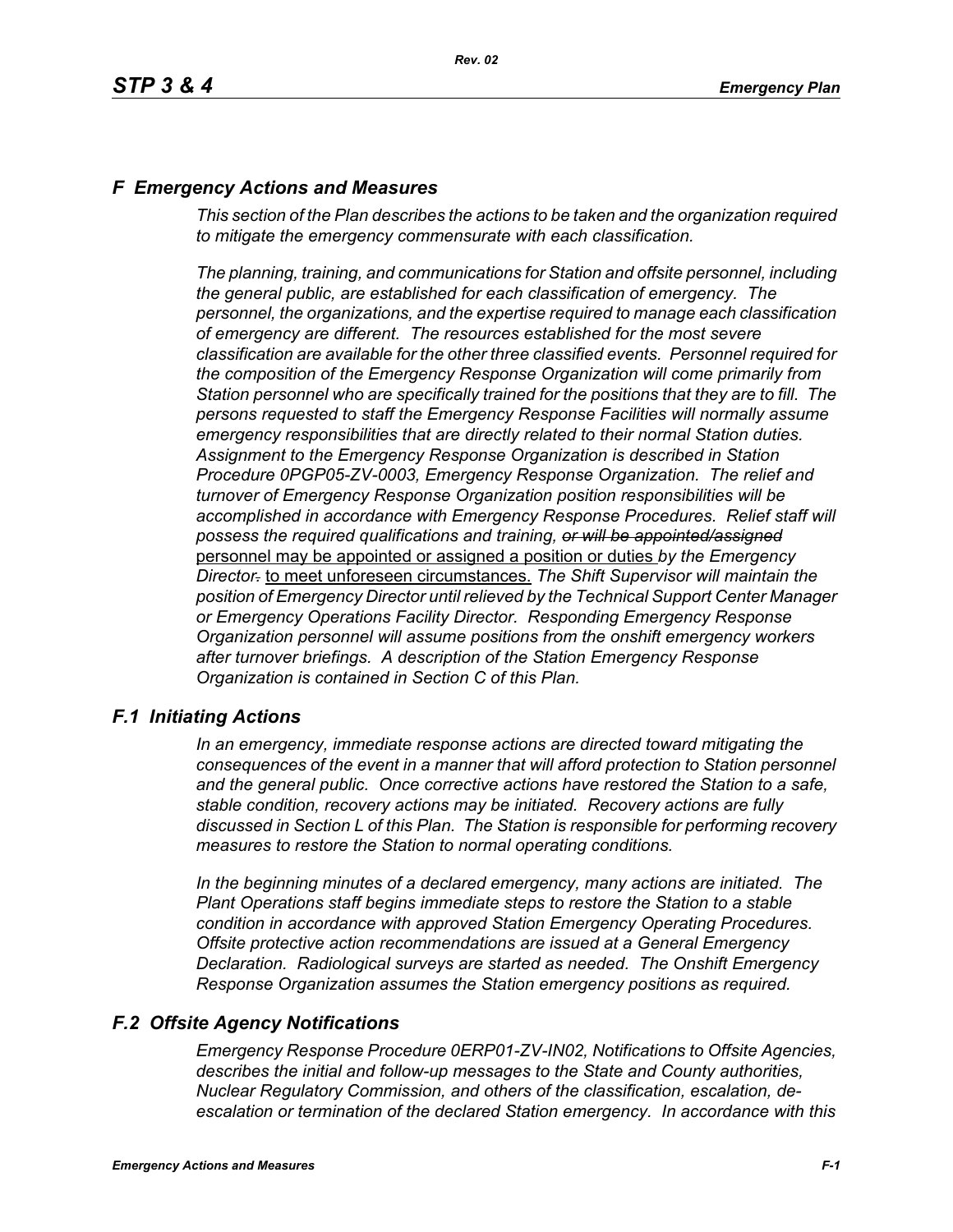## *F Emergency Actions and Measures*

*This section of the Plan describes the actions to be taken and the organization required to mitigate the emergency commensurate with each classification.*

*The planning, training, and communications for Station and offsite personnel, including the general public, are established for each classification of emergency. The personnel, the organizations, and the expertise required to manage each classification of emergency are different. The resources established for the most severe classification are available for the other three classified events. Personnel required for the composition of the Emergency Response Organization will come primarily from Station personnel who are specifically trained for the positions that they are to fill. The persons requested to staff the Emergency Response Facilities will normally assume emergency responsibilities that are directly related to their normal Station duties. Assignment to the Emergency Response Organization is described in Station Procedure 0PGP05-ZV-0003, Emergency Response Organization. The relief and turnover of Emergency Response Organization position responsibilities will be*  accomplished in accordance with Emergency Response Procedures. Relief staff will *possess the required qualifications and training, or will be appointed/assigned* personnel may be appointed or assigned a position or duties *by the Emergency Director.* to meet unforeseen circumstances. *The Shift Supervisor will maintain the position of Emergency Director until relieved by the Technical Support Center Manager or Emergency Operations Facility Director. Responding Emergency Response Organization personnel will assume positions from the onshift emergency workers after turnover briefings. A description of the Station Emergency Response Organization is contained in Section C of this Plan.*

### *F.1 Initiating Actions*

*In an emergency, immediate response actions are directed toward mitigating the consequences of the event in a manner that will afford protection to Station personnel and the general public. Once corrective actions have restored the Station to a safe, stable condition, recovery actions may be initiated. Recovery actions are fully discussed in Section L of this Plan. The Station is responsible for performing recovery measures to restore the Station to normal operating conditions.*

*In the beginning minutes of a declared emergency, many actions are initiated. The Plant Operations staff begins immediate steps to restore the Station to a stable condition in accordance with approved Station Emergency Operating Procedures. Offsite protective action recommendations are issued at a General Emergency Declaration. Radiological surveys are started as needed. The Onshift Emergency Response Organization assumes the Station emergency positions as required.*

## *F.2 Offsite Agency Notifications*

*Emergency Response Procedure 0ERP01-ZV-IN02, Notifications to Offsite Agencies, describes the initial and follow-up messages to the State and County authorities, Nuclear Regulatory Commission, and others of the classification, escalation, deescalation or termination of the declared Station emergency. In accordance with this*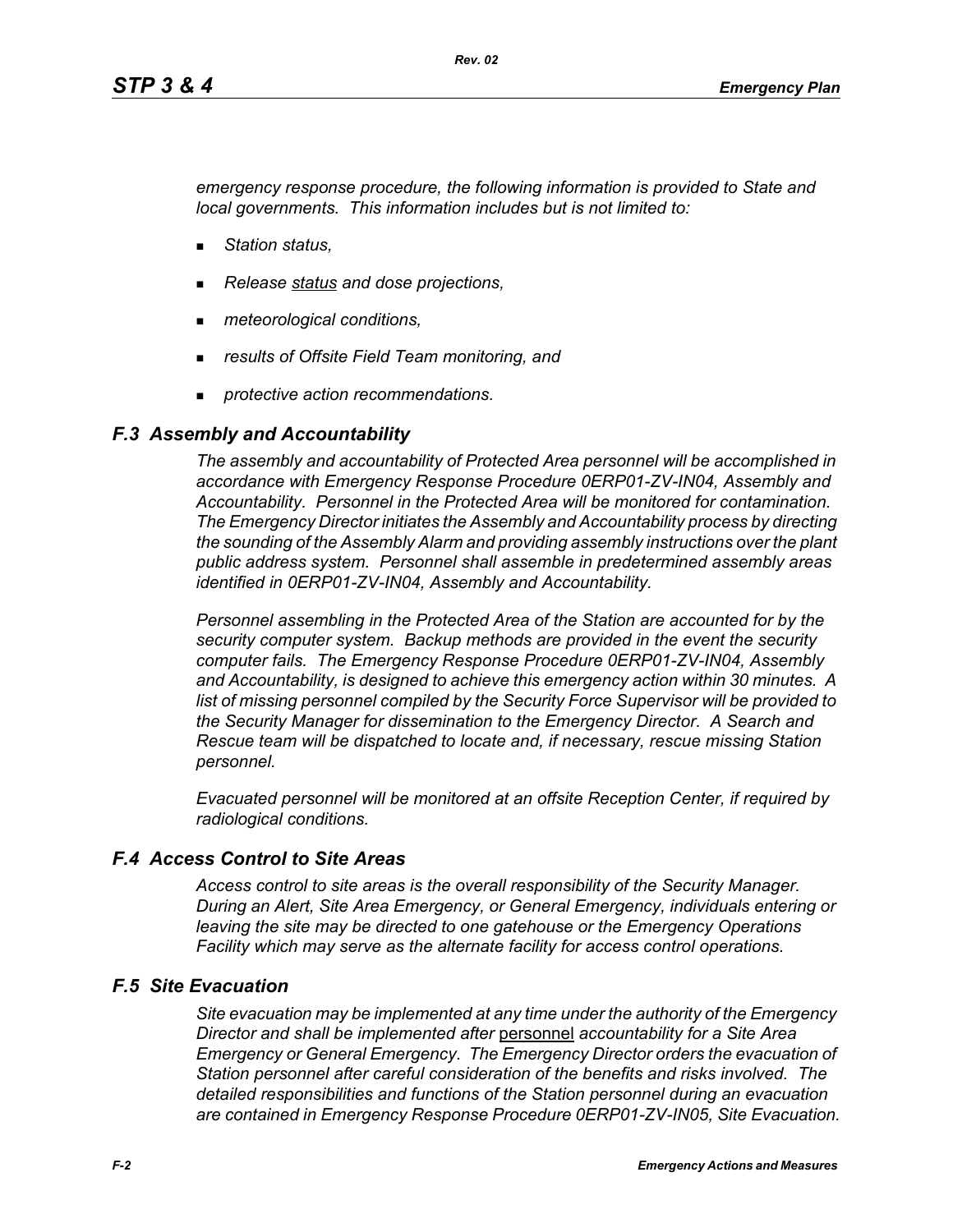*emergency response procedure, the following information is provided to State and local governments. This information includes but is not limited to:*

- *Station status,*
- *Release status and dose projections,*
- *meteorological conditions,*
- *results of Offsite Field Team monitoring, and*
- *protective action recommendations.*

## *F.3 Assembly and Accountability*

*The assembly and accountability of Protected Area personnel will be accomplished in accordance with Emergency Response Procedure 0ERP01-ZV-IN04, Assembly and Accountability. Personnel in the Protected Area will be monitored for contamination. The Emergency Director initiates the Assembly and Accountability process by directing the sounding of the Assembly Alarm and providing assembly instructions over the plant public address system. Personnel shall assemble in predetermined assembly areas identified in 0ERP01-ZV-IN04, Assembly and Accountability.*

*Personnel assembling in the Protected Area of the Station are accounted for by the security computer system. Backup methods are provided in the event the security computer fails. The Emergency Response Procedure 0ERP01-ZV-IN04, Assembly and Accountability, is designed to achieve this emergency action within 30 minutes. A list of missing personnel compiled by the Security Force Supervisor will be provided to the Security Manager for dissemination to the Emergency Director. A Search and Rescue team will be dispatched to locate and, if necessary, rescue missing Station personnel.*

*Evacuated personnel will be monitored at an offsite Reception Center, if required by radiological conditions.*

# *F.4 Access Control to Site Areas*

*Access control to site areas is the overall responsibility of the Security Manager. During an Alert, Site Area Emergency, or General Emergency, individuals entering or leaving the site may be directed to one gatehouse or the Emergency Operations Facility which may serve as the alternate facility for access control operations.* 

## *F.5 Site Evacuation*

*Site evacuation may be implemented at any time under the authority of the Emergency Director and shall be implemented after* personnel *accountability for a Site Area Emergency or General Emergency. The Emergency Director orders the evacuation of Station personnel after careful consideration of the benefits and risks involved. The detailed responsibilities and functions of the Station personnel during an evacuation are contained in Emergency Response Procedure 0ERP01-ZV-IN05, Site Evacuation.*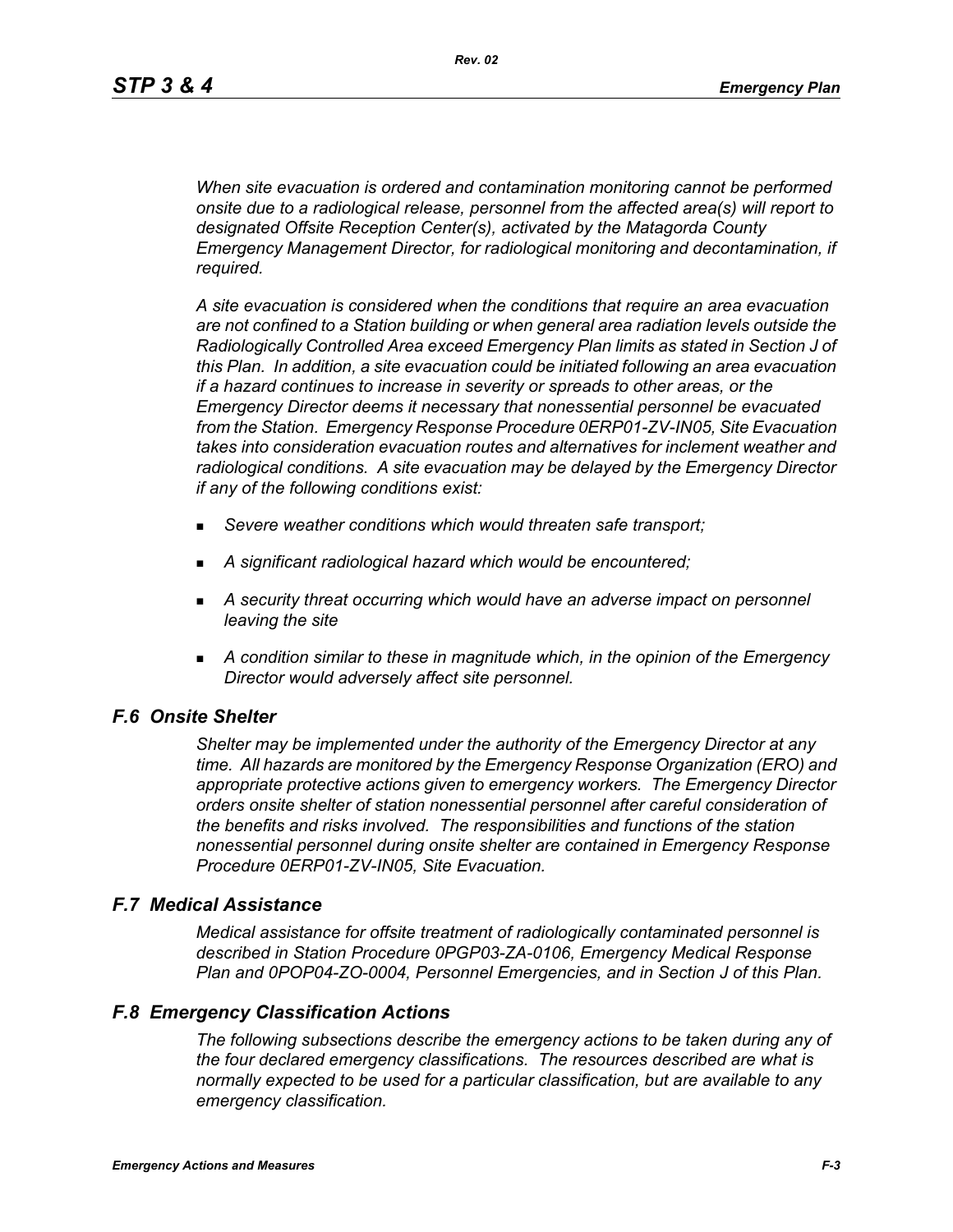*When site evacuation is ordered and contamination monitoring cannot be performed onsite due to a radiological release, personnel from the affected area(s) will report to designated Offsite Reception Center(s), activated by the Matagorda County Emergency Management Director, for radiological monitoring and decontamination, if required.*

*A site evacuation is considered when the conditions that require an area evacuation are not confined to a Station building or when general area radiation levels outside the Radiologically Controlled Area exceed Emergency Plan limits as stated in Section J of this Plan. In addition, a site evacuation could be initiated following an area evacuation if a hazard continues to increase in severity or spreads to other areas, or the Emergency Director deems it necessary that nonessential personnel be evacuated from the Station. Emergency Response Procedure 0ERP01-ZV-IN05, Site Evacuation takes into consideration evacuation routes and alternatives for inclement weather and radiological conditions. A site evacuation may be delayed by the Emergency Director if any of the following conditions exist:*

- *Severe weather conditions which would threaten safe transport;*
- *A significant radiological hazard which would be encountered;*
- *A security threat occurring which would have an adverse impact on personnel leaving the site*
- *A condition similar to these in magnitude which, in the opinion of the Emergency Director would adversely affect site personnel.*

### *F.6 Onsite Shelter*

*Shelter may be implemented under the authority of the Emergency Director at any time. All hazards are monitored by the Emergency Response Organization (ERO) and appropriate protective actions given to emergency workers. The Emergency Director orders onsite shelter of station nonessential personnel after careful consideration of the benefits and risks involved. The responsibilities and functions of the station nonessential personnel during onsite shelter are contained in Emergency Response Procedure 0ERP01-ZV-IN05, Site Evacuation.*

#### *F.7 Medical Assistance*

*Medical assistance for offsite treatment of radiologically contaminated personnel is described in Station Procedure 0PGP03-ZA-0106, Emergency Medical Response Plan and 0POP04-ZO-0004, Personnel Emergencies, and in Section J of this Plan.*

### *F.8 Emergency Classification Actions*

*The following subsections describe the emergency actions to be taken during any of the four declared emergency classifications. The resources described are what is normally expected to be used for a particular classification, but are available to any emergency classification.*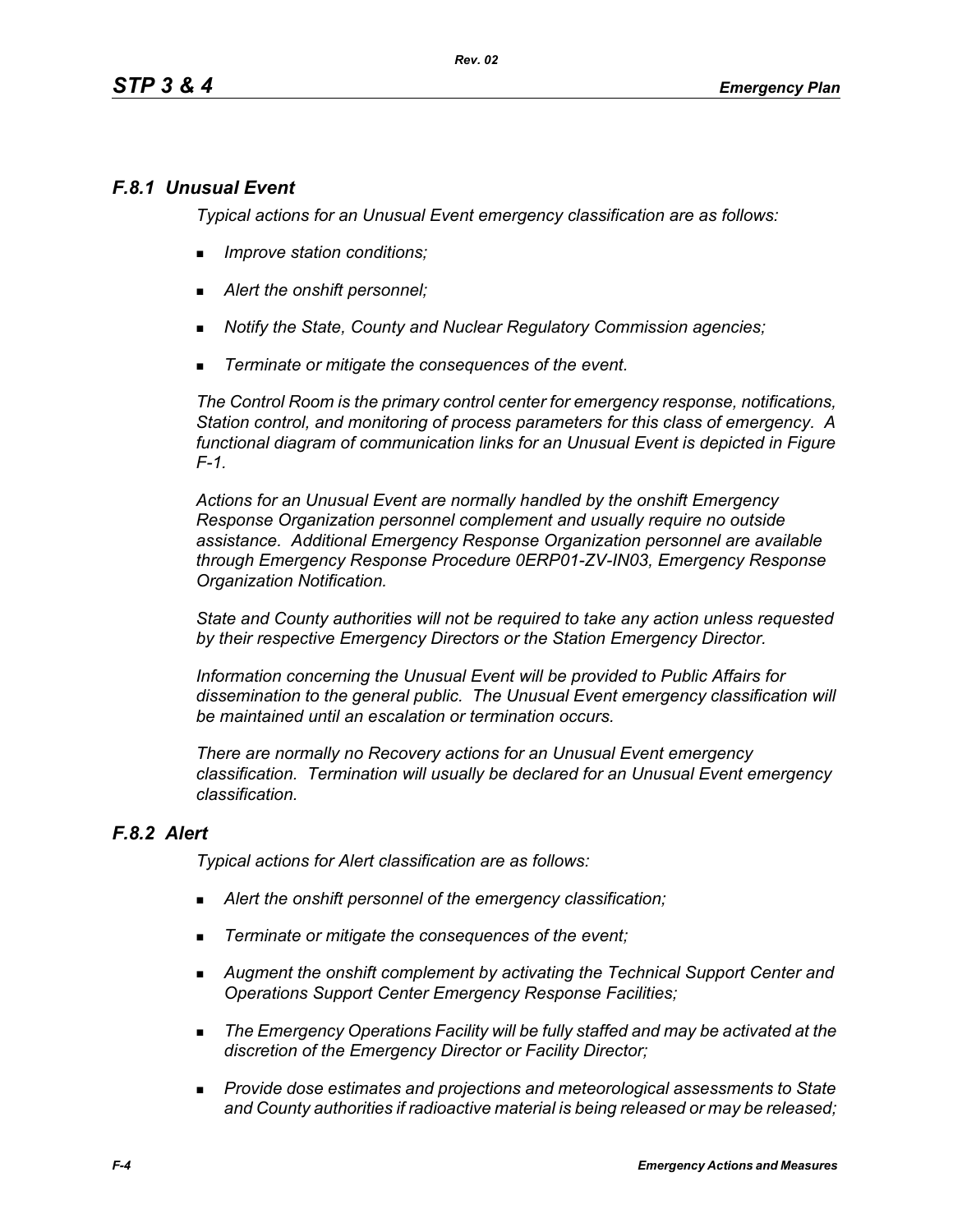# *F.8.1 Unusual Event*

*Typical actions for an Unusual Event emergency classification are as follows:* 

- *Improve station conditions;*
- *Alert the onshift personnel;*
- *Notify the State, County and Nuclear Regulatory Commission agencies;*
- *Terminate or mitigate the consequences of the event.*

*The Control Room is the primary control center for emergency response, notifications, Station control, and monitoring of process parameters for this class of emergency. A functional diagram of communication links for an Unusual Event is depicted in Figure F-1.* 

*Actions for an Unusual Event are normally handled by the onshift Emergency Response Organization personnel complement and usually require no outside assistance. Additional Emergency Response Organization personnel are available through Emergency Response Procedure 0ERP01-ZV-IN03, Emergency Response Organization Notification.* 

*State and County authorities will not be required to take any action unless requested by their respective Emergency Directors or the Station Emergency Director.* 

*Information concerning the Unusual Event will be provided to Public Affairs for dissemination to the general public. The Unusual Event emergency classification will be maintained until an escalation or termination occurs.* 

*There are normally no Recovery actions for an Unusual Event emergency classification. Termination will usually be declared for an Unusual Event emergency classification.*

## *F.8.2 Alert*

*Typical actions for Alert classification are as follows:* 

- *Alert the onshift personnel of the emergency classification;*
- *Terminate or mitigate the consequences of the event;*
- *Augment the onshift complement by activating the Technical Support Center and Operations Support Center Emergency Response Facilities;*
- *The Emergency Operations Facility will be fully staffed and may be activated at the discretion of the Emergency Director or Facility Director;*
- *Provide dose estimates and projections and meteorological assessments to State and County authorities if radioactive material is being released or may be released;*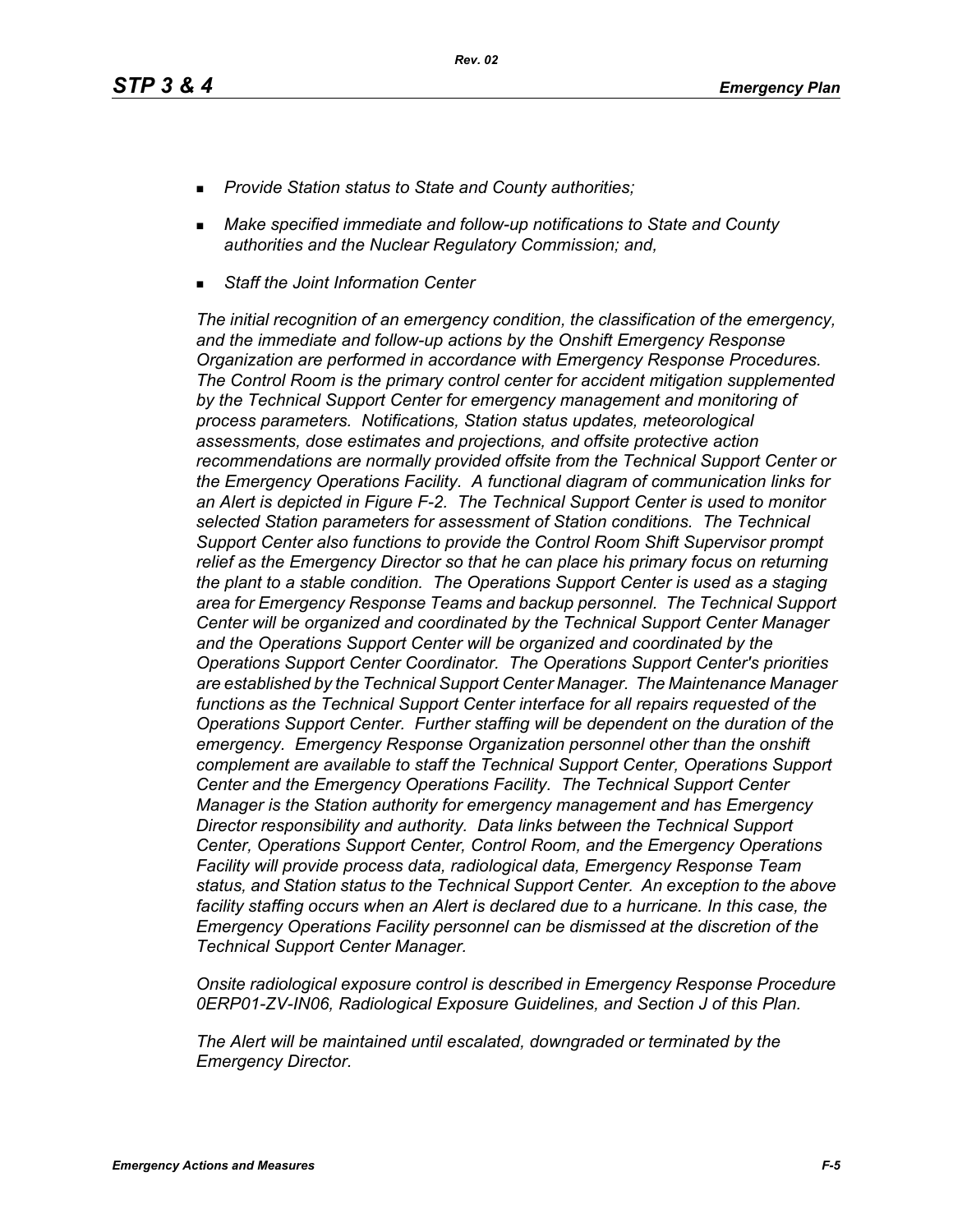- *Provide Station status to State and County authorities;*
- *Make specified immediate and follow-up notifications to State and County authorities and the Nuclear Regulatory Commission; and,*
- *Staff the Joint Information Center*

*The initial recognition of an emergency condition, the classification of the emergency, and the immediate and follow-up actions by the Onshift Emergency Response Organization are performed in accordance with Emergency Response Procedures. The Control Room is the primary control center for accident mitigation supplemented by the Technical Support Center for emergency management and monitoring of process parameters. Notifications, Station status updates, meteorological assessments, dose estimates and projections, and offsite protective action*  recommendations are normally provided offsite from the Technical Support Center or *the Emergency Operations Facility. A functional diagram of communication links for an Alert is depicted in Figure F-2. The Technical Support Center is used to monitor selected Station parameters for assessment of Station conditions. The Technical Support Center also functions to provide the Control Room Shift Supervisor prompt relief as the Emergency Director so that he can place his primary focus on returning the plant to a stable condition. The Operations Support Center is used as a staging area for Emergency Response Teams and backup personnel. The Technical Support Center will be organized and coordinated by the Technical Support Center Manager and the Operations Support Center will be organized and coordinated by the Operations Support Center Coordinator. The Operations Support Center's priorities are established by the Technical Support Center Manager. The Maintenance Manager functions as the Technical Support Center interface for all repairs requested of the Operations Support Center. Further staffing will be dependent on the duration of the emergency. Emergency Response Organization personnel other than the onshift complement are available to staff the Technical Support Center, Operations Support Center and the Emergency Operations Facility. The Technical Support Center Manager is the Station authority for emergency management and has Emergency Director responsibility and authority. Data links between the Technical Support Center, Operations Support Center, Control Room, and the Emergency Operations Facility will provide process data, radiological data, Emergency Response Team status, and Station status to the Technical Support Center. An exception to the above*  facility staffing occurs when an Alert is declared due to a hurricane. In this case, the *Emergency Operations Facility personnel can be dismissed at the discretion of the Technical Support Center Manager.* 

*Onsite radiological exposure control is described in Emergency Response Procedure 0ERP01-ZV-IN06, Radiological Exposure Guidelines, and Section J of this Plan.* 

*The Alert will be maintained until escalated, downgraded or terminated by the Emergency Director.*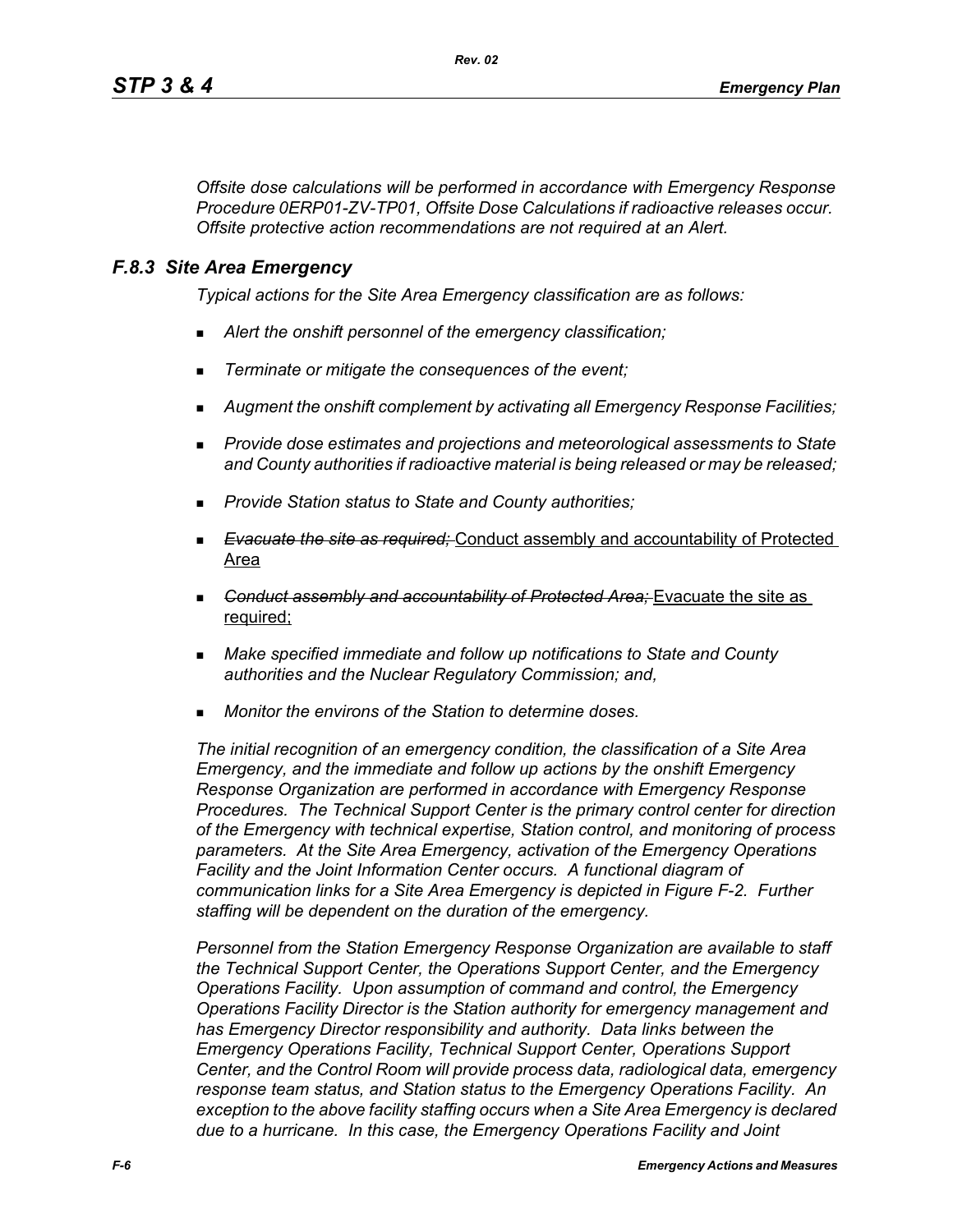*Offsite dose calculations will be performed in accordance with Emergency Response Procedure 0ERP01-ZV-TP01, Offsite Dose Calculations if radioactive releases occur. Offsite protective action recommendations are not required at an Alert.* 

### *F.8.3 Site Area Emergency*

*Typical actions for the Site Area Emergency classification are as follows:* 

- *Alert the onshift personnel of the emergency classification;*
- *Terminate or mitigate the consequences of the event;*
- *Augment the onshift complement by activating all Emergency Response Facilities;*
- *Provide dose estimates and projections and meteorological assessments to State and County authorities if radioactive material is being released or may be released;*
- *Provide Station status to State and County authorities;*
- *Evacuate the site as required;* Conduct assembly and accountability of Protected Area
- *Conduct assembly and accountability of Protected Area;* Evacuate the site as required;
- *Make specified immediate and follow up notifications to State and County authorities and the Nuclear Regulatory Commission; and,*
- *Monitor the environs of the Station to determine doses.*

*The initial recognition of an emergency condition, the classification of a Site Area Emergency, and the immediate and follow up actions by the onshift Emergency Response Organization are performed in accordance with Emergency Response Procedures. The Technical Support Center is the primary control center for direction of the Emergency with technical expertise, Station control, and monitoring of process parameters. At the Site Area Emergency, activation of the Emergency Operations Facility and the Joint Information Center occurs. A functional diagram of communication links for a Site Area Emergency is depicted in Figure F-2. Further staffing will be dependent on the duration of the emergency.*

*Personnel from the Station Emergency Response Organization are available to staff the Technical Support Center, the Operations Support Center, and the Emergency Operations Facility. Upon assumption of command and control, the Emergency Operations Facility Director is the Station authority for emergency management and has Emergency Director responsibility and authority. Data links between the Emergency Operations Facility, Technical Support Center, Operations Support Center, and the Control Room will provide process data, radiological data, emergency response team status, and Station status to the Emergency Operations Facility. An exception to the above facility staffing occurs when a Site Area Emergency is declared due to a hurricane. In this case, the Emergency Operations Facility and Joint*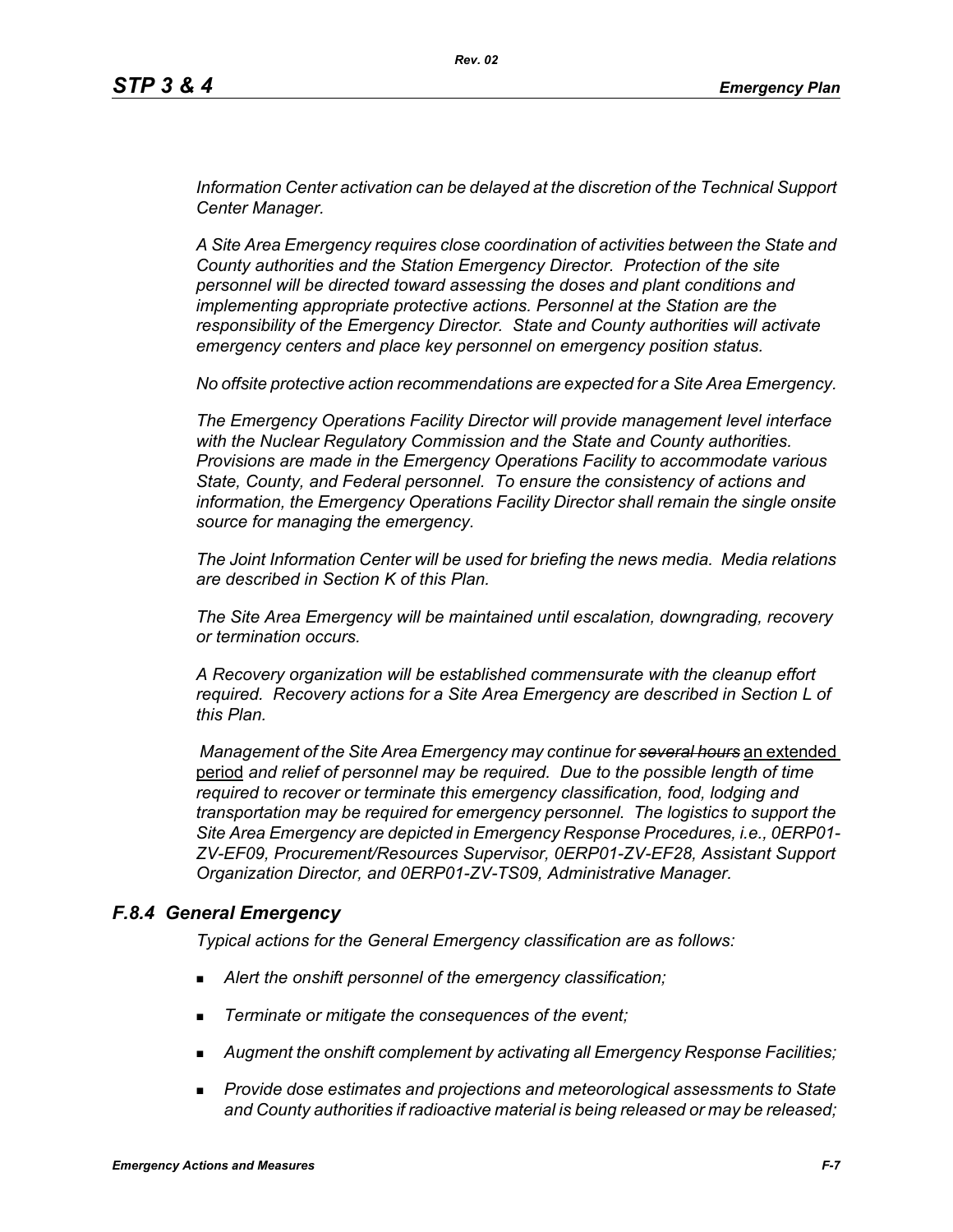*Information Center activation can be delayed at the discretion of the Technical Support Center Manager.* 

*A Site Area Emergency requires close coordination of activities between the State and County authorities and the Station Emergency Director. Protection of the site personnel will be directed toward assessing the doses and plant conditions and implementing appropriate protective actions. Personnel at the Station are the responsibility of the Emergency Director. State and County authorities will activate emergency centers and place key personnel on emergency position status.*

*No offsite protective action recommendations are expected for a Site Area Emergency.* 

*The Emergency Operations Facility Director will provide management level interface with the Nuclear Regulatory Commission and the State and County authorities. Provisions are made in the Emergency Operations Facility to accommodate various State, County, and Federal personnel. To ensure the consistency of actions and information, the Emergency Operations Facility Director shall remain the single onsite source for managing the emergency.* 

*The Joint Information Center will be used for briefing the news media. Media relations are described in Section K of this Plan.* 

*The Site Area Emergency will be maintained until escalation, downgrading, recovery or termination occurs.* 

*A Recovery organization will be established commensurate with the cleanup effort required. Recovery actions for a Site Area Emergency are described in Section L of this Plan.* 

 *Management of the Site Area Emergency may continue for several hours* an extended period *and relief of personnel may be required. Due to the possible length of time required to recover or terminate this emergency classification, food, lodging and transportation may be required for emergency personnel. The logistics to support the Site Area Emergency are depicted in Emergency Response Procedures, i.e., 0ERP01- ZV-EF09, Procurement/Resources Supervisor, 0ERP01-ZV-EF28, Assistant Support Organization Director, and 0ERP01-ZV-TS09, Administrative Manager.*

### *F.8.4 General Emergency*

*Typical actions for the General Emergency classification are as follows:*

- *Alert the onshift personnel of the emergency classification;*
- *Terminate or mitigate the consequences of the event;*
- *Augment the onshift complement by activating all Emergency Response Facilities;*
- *Provide dose estimates and projections and meteorological assessments to State and County authorities if radioactive material is being released or may be released;*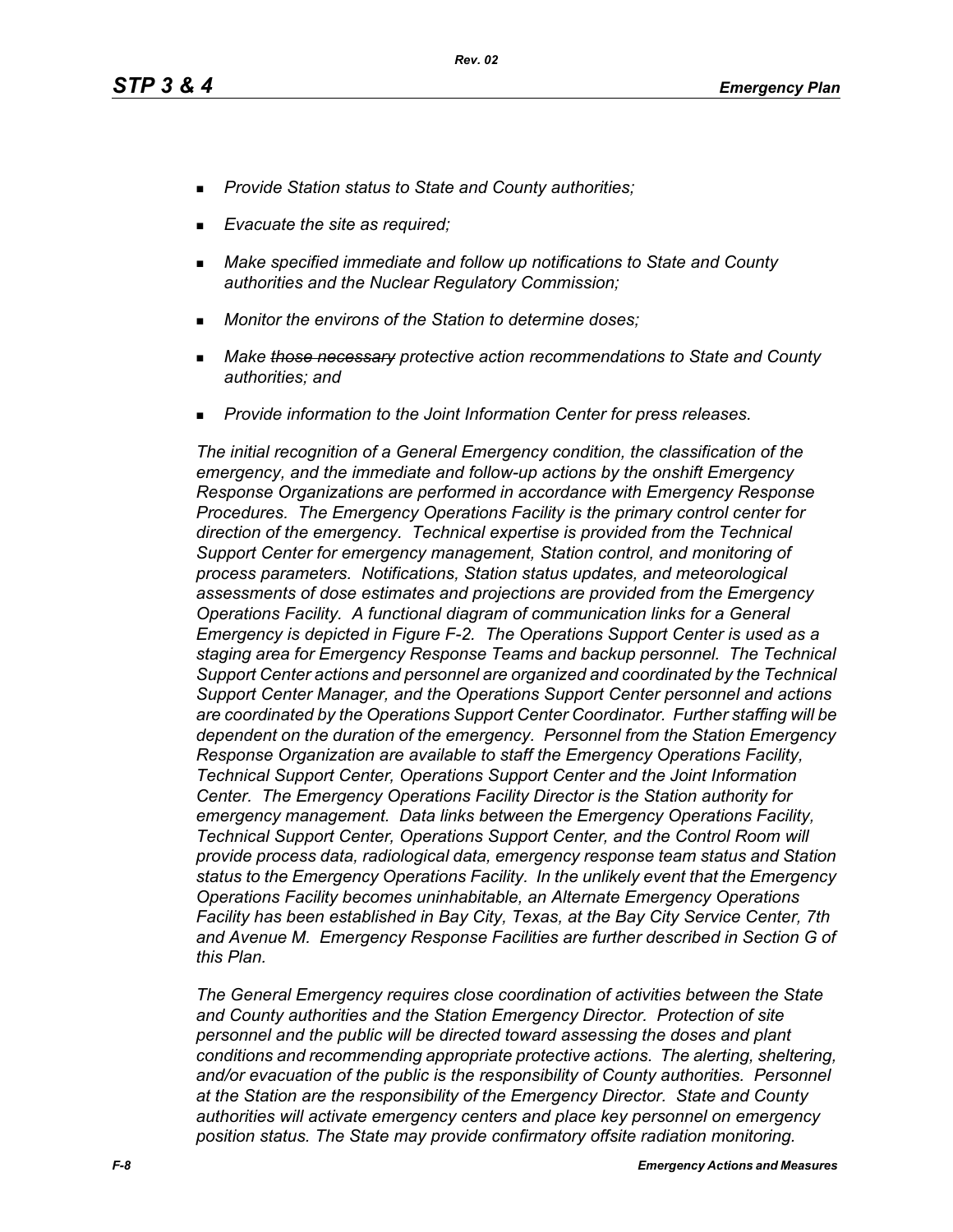- *Provide Station status to State and County authorities;*
- *Evacuate the site as required;*
- *Make specified immediate and follow up notifications to State and County authorities and the Nuclear Regulatory Commission;*
- *Monitor the environs of the Station to determine doses;*
- *Make those necessary protective action recommendations to State and County authorities; and*
- *Provide information to the Joint Information Center for press releases.*

*The initial recognition of a General Emergency condition, the classification of the emergency, and the immediate and follow-up actions by the onshift Emergency Response Organizations are performed in accordance with Emergency Response Procedures. The Emergency Operations Facility is the primary control center for direction of the emergency. Technical expertise is provided from the Technical Support Center for emergency management, Station control, and monitoring of process parameters. Notifications, Station status updates, and meteorological assessments of dose estimates and projections are provided from the Emergency Operations Facility. A functional diagram of communication links for a General Emergency is depicted in Figure F-2. The Operations Support Center is used as a staging area for Emergency Response Teams and backup personnel. The Technical Support Center actions and personnel are organized and coordinated by the Technical Support Center Manager, and the Operations Support Center personnel and actions are coordinated by the Operations Support Center Coordinator. Further staffing will be dependent on the duration of the emergency. Personnel from the Station Emergency Response Organization are available to staff the Emergency Operations Facility, Technical Support Center, Operations Support Center and the Joint Information Center. The Emergency Operations Facility Director is the Station authority for emergency management. Data links between the Emergency Operations Facility, Technical Support Center, Operations Support Center, and the Control Room will provide process data, radiological data, emergency response team status and Station status to the Emergency Operations Facility. In the unlikely event that the Emergency Operations Facility becomes uninhabitable, an Alternate Emergency Operations Facility has been established in Bay City, Texas, at the Bay City Service Center, 7th and Avenue M. Emergency Response Facilities are further described in Section G of this Plan.* 

*The General Emergency requires close coordination of activities between the State and County authorities and the Station Emergency Director. Protection of site personnel and the public will be directed toward assessing the doses and plant conditions and recommending appropriate protective actions. The alerting, sheltering, and/or evacuation of the public is the responsibility of County authorities. Personnel at the Station are the responsibility of the Emergency Director. State and County authorities will activate emergency centers and place key personnel on emergency position status. The State may provide confirmatory offsite radiation monitoring.*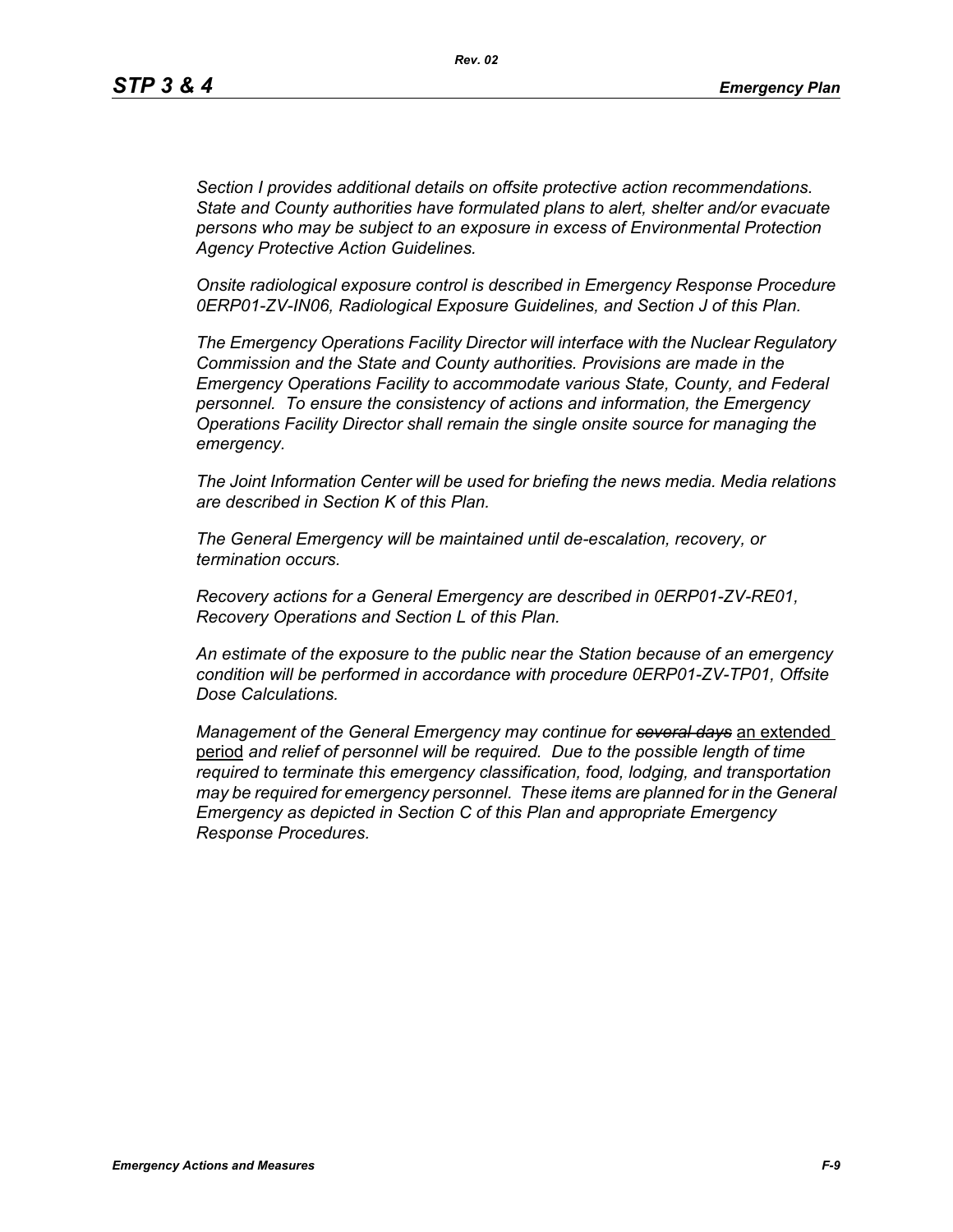*Section I provides additional details on offsite protective action recommendations. State and County authorities have formulated plans to alert, shelter and/or evacuate persons who may be subject to an exposure in excess of Environmental Protection Agency Protective Action Guidelines.* 

*Onsite radiological exposure control is described in Emergency Response Procedure 0ERP01-ZV-IN06, Radiological Exposure Guidelines, and Section J of this Plan.* 

*The Emergency Operations Facility Director will interface with the Nuclear Regulatory Commission and the State and County authorities. Provisions are made in the Emergency Operations Facility to accommodate various State, County, and Federal personnel. To ensure the consistency of actions and information, the Emergency Operations Facility Director shall remain the single onsite source for managing the emergency.* 

*The Joint Information Center will be used for briefing the news media. Media relations are described in Section K of this Plan.* 

*The General Emergency will be maintained until de-escalation, recovery, or termination occurs.* 

*Recovery actions for a General Emergency are described in 0ERP01-ZV-RE01, Recovery Operations and Section L of this Plan.* 

*An estimate of the exposure to the public near the Station because of an emergency condition will be performed in accordance with procedure 0ERP01-ZV-TP01, Offsite Dose Calculations.*

*Management of the General Emergency may continue for several days* an extended period *and relief of personnel will be required. Due to the possible length of time required to terminate this emergency classification, food, lodging, and transportation may be required for emergency personnel. These items are planned for in the General Emergency as depicted in Section C of this Plan and appropriate Emergency Response Procedures.*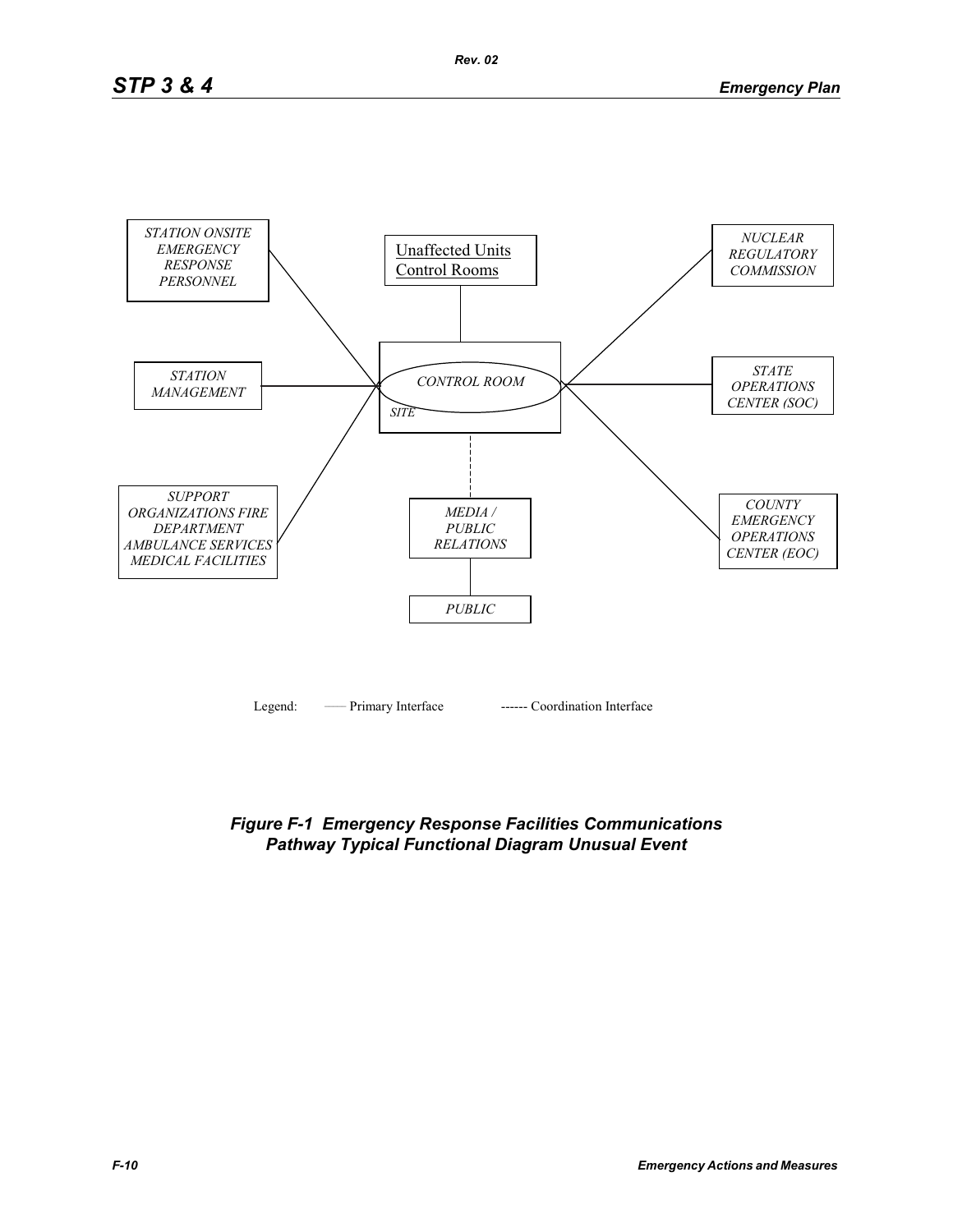

*Figure F-1 Emergency Response Facilities Communications Pathway Typical Functional Diagram Unusual Event*